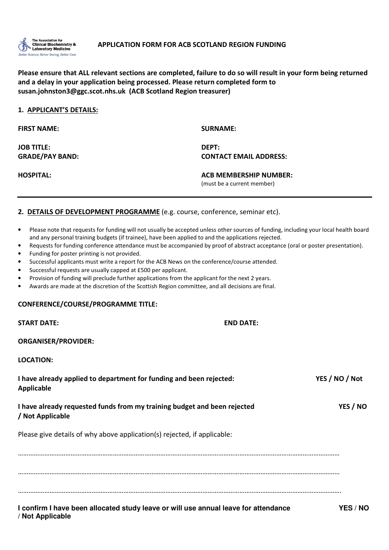

# Please ensure that ALL relevant sections are completed, failure to do so will result in your form being returned and a delay in your application being processed. Please return completed form to susan.johnston3@ggc.scot.nhs.uk (ACB Scotland Region treasurer)

| <b>SURNAME:</b>               |
|-------------------------------|
| DEPT:                         |
| <b>CONTACT EMAIL ADDRESS:</b> |
| <b>ACB MEMBERSHIP NUMBER:</b> |
| (must be a current member)    |
|                               |

# 2. DETAILS OF DEVELOPMENT PROGRAMME (e.g. course, conference, seminar etc).

- Please note that requests for funding will not usually be accepted unless other sources of funding, including your local health board and any personal training budgets (if trainee), have been applied to and the applications rejected.
- Requests for funding conference attendance must be accompanied by proof of abstract acceptance (oral or poster presentation).
- Funding for poster printing is not provided.
- Successful applicants must write a report for the ACB News on the conference/course attended.
- Successful requests are usually capped at £500 per applicant.
- Provision of funding will preclude further applications from the applicant for the next 2 years.
- Awards are made at the discretion of the Scottish Region committee, and all decisions are final.

#### CONFERENCE/COURSE/PROGRAMME TITLE:

**/ Not Applicable** 

| <b>START DATE:</b>                                                                           | <b>END DATE:</b> |
|----------------------------------------------------------------------------------------------|------------------|
| <b>ORGANISER/PROVIDER:</b>                                                                   |                  |
| <b>LOCATION:</b>                                                                             |                  |
| I have already applied to department for funding and been rejected:<br><b>Applicable</b>     | YES / NO / Not   |
| I have already requested funds from my training budget and been rejected<br>/ Not Applicable | YES / NO         |
| Please give details of why above application(s) rejected, if applicable:                     |                  |
|                                                                                              |                  |
|                                                                                              |                  |
| I confirm I have been allocated study leave or will use annual leave for attendance          | YES / NO         |